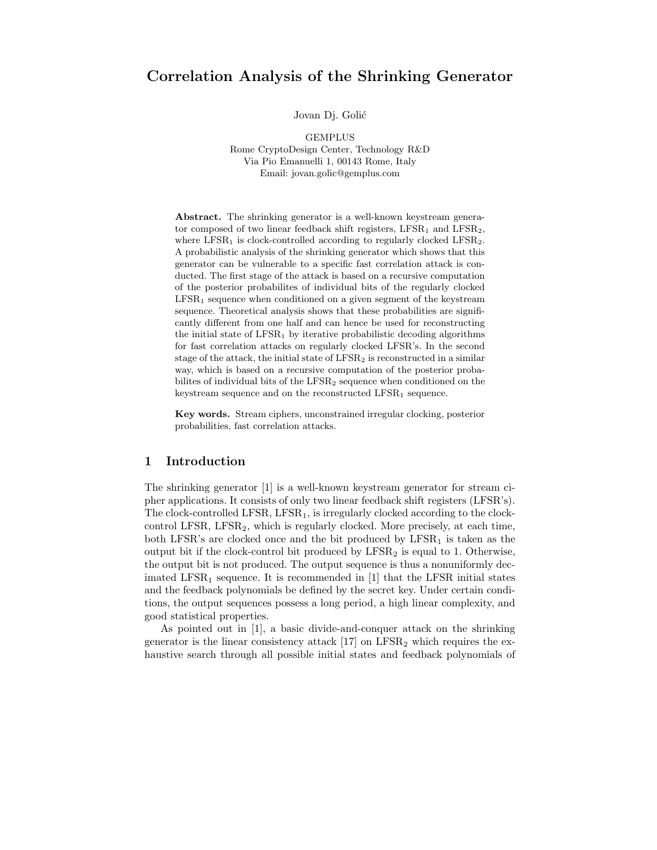# Correlation Analysis of the Shrinking Generator

Jovan Dj. Golić

GEMPLUS Rome CryptoDesign Center, Technology R&D Via Pio Emanuelli 1, 00143 Rome, Italy Email: jovan.golic@gemplus.com

Abstract. The shrinking generator is a well-known keystream generator composed of two linear feedback shift registers,  $LFSR<sub>1</sub>$  and  $LFSR<sub>2</sub>$ , where  $LFSR<sub>1</sub>$  is clock-controlled according to regularly clocked  $LFSR<sub>2</sub>$ . A probabilistic analysis of the shrinking generator which shows that this generator can be vulnerable to a specific fast correlation attack is conducted. The first stage of the attack is based on a recursive computation of the posterior probabilites of individual bits of the regularly clocked  $LFSR<sub>1</sub>$  sequence when conditioned on a given segment of the keystream sequence. Theoretical analysis shows that these probabilities are significantly different from one half and can hence be used for reconstructing the initial state of  $LFSR<sub>1</sub>$  by iterative probabilistic decoding algorithms for fast correlation attacks on regularly clocked LFSR's. In the second stage of the attack, the initial state of  $LFSR<sub>2</sub>$  is reconstructed in a similar way, which is based on a recursive computation of the posterior probabilites of individual bits of the  $LFSR<sub>2</sub>$  sequence when conditioned on the keystream sequence and on the reconstructed  $LFSR_1$  sequence.

Key words. Stream ciphers, unconstrained irregular clocking, posterior probabilities, fast correlation attacks.

### 1 Introduction

The shrinking generator [1] is a well-known keystream generator for stream cipher applications. It consists of only two linear feedback shift registers (LFSR's). The clock-controlled LFSR,  $LFSR<sub>1</sub>$ , is irregularly clocked according to the clockcontrol LFSR, LFSR<sub>2</sub>, which is regularly clocked. More precisely, at each time, both LFSR's are clocked once and the bit produced by  $LFSR_1$  is taken as the output bit if the clock-control bit produced by  $LFSR<sub>2</sub>$  is equal to 1. Otherwise, the output bit is not produced. The output sequence is thus a nonuniformly decimated LFSR<sub>1</sub> sequence. It is recommended in  $[1]$  that the LFSR initial states and the feedback polynomials be defined by the secret key. Under certain conditions, the output sequences possess a long period, a high linear complexity, and good statistical properties.

As pointed out in [1], a basic divide-and-conquer attack on the shrinking generator is the linear consistency attack  $[17]$  on LFSR<sub>2</sub> which requires the exhaustive search through all possible initial states and feedback polynomials of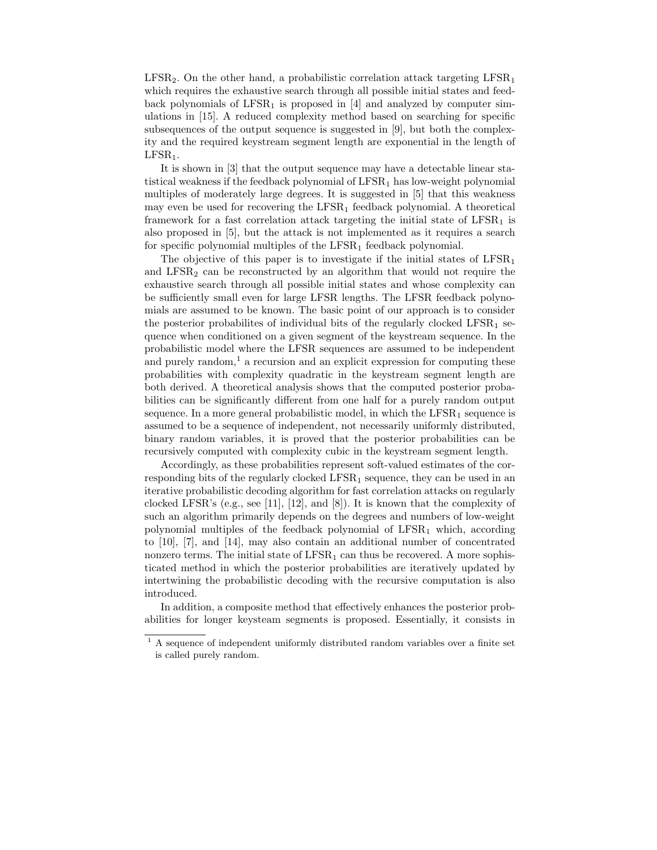$LFSR<sub>2</sub>$ . On the other hand, a probabilistic correlation attack targeting  $LFSR<sub>1</sub>$ which requires the exhaustive search through all possible initial states and feedback polynomials of  $LFSR<sub>1</sub>$  is proposed in [4] and analyzed by computer simulations in [15]. A reduced complexity method based on searching for specific subsequences of the output sequence is suggested in [9], but both the complexity and the required keystream segment length are exponential in the length of  $LFSR<sub>1</sub>$ .

It is shown in [3] that the output sequence may have a detectable linear statistical weakness if the feedback polynomial of  $LFSR<sub>1</sub>$  has low-weight polynomial multiples of moderately large degrees. It is suggested in [5] that this weakness may even be used for recovering the  $LFSR<sub>1</sub>$  feedback polynomial. A theoretical framework for a fast correlation attack targeting the initial state of  $LFSR<sub>1</sub>$  is also proposed in [5], but the attack is not implemented as it requires a search for specific polynomial multiples of the  $LFSR<sub>1</sub>$  feedback polynomial.

The objective of this paper is to investigate if the initial states of  $LFSR_1$ and  $LFSR<sub>2</sub>$  can be reconstructed by an algorithm that would not require the exhaustive search through all possible initial states and whose complexity can be sufficiently small even for large LFSR lengths. The LFSR feedback polynomials are assumed to be known. The basic point of our approach is to consider the posterior probabilites of individual bits of the regularly clocked  $LFSR_1$  sequence when conditioned on a given segment of the keystream sequence. In the probabilistic model where the LFSR sequences are assumed to be independent and purely random, $<sup>1</sup>$  a recursion and an explicit expression for computing these</sup> probabilities with complexity quadratic in the keystream segment length are both derived. A theoretical analysis shows that the computed posterior probabilities can be significantly different from one half for a purely random output sequence. In a more general probabilistic model, in which the  $LFSR<sub>1</sub>$  sequence is assumed to be a sequence of independent, not necessarily uniformly distributed, binary random variables, it is proved that the posterior probabilities can be recursively computed with complexity cubic in the keystream segment length.

Accordingly, as these probabilities represent soft-valued estimates of the corresponding bits of the regularly clocked  $LFSR_1$  sequence, they can be used in an iterative probabilistic decoding algorithm for fast correlation attacks on regularly clocked LFSR's (e.g., see [11], [12], and [8]). It is known that the complexity of such an algorithm primarily depends on the degrees and numbers of low-weight polynomial multiples of the feedback polynomial of  $LFSR<sub>1</sub>$  which, according to [10], [7], and [14], may also contain an additional number of concentrated nonzero terms. The initial state of  $LFSR<sub>1</sub>$  can thus be recovered. A more sophisticated method in which the posterior probabilities are iteratively updated by intertwining the probabilistic decoding with the recursive computation is also introduced.

In addition, a composite method that effectively enhances the posterior probabilities for longer keysteam segments is proposed. Essentially, it consists in

 $^{\rm 1}$  A sequence of independent uniformly distributed random variables over a finite set is called purely random.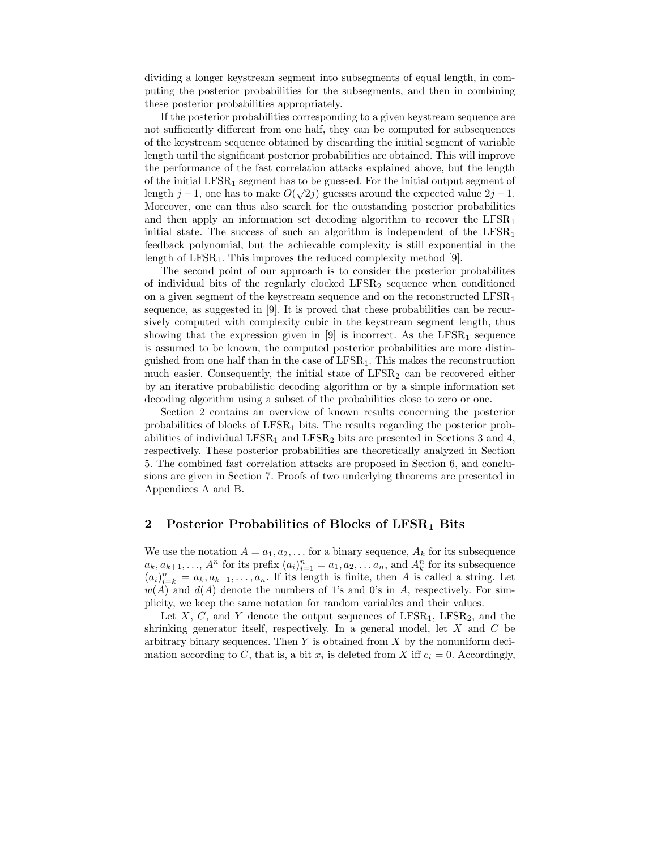dividing a longer keystream segment into subsegments of equal length, in computing the posterior probabilities for the subsegments, and then in combining these posterior probabilities appropriately.

If the posterior probabilities corresponding to a given keystream sequence are not sufficiently different from one half, they can be computed for subsequences of the keystream sequence obtained by discarding the initial segment of variable length until the significant posterior probabilities are obtained. This will improve the performance of the fast correlation attacks explained above, but the length of the initial LFSR<sup>1</sup> segment has to be guessed. For the initial output segment of length j − 1, one has to make  $O(\sqrt{2j})$  guesses around the expected value  $2j - 1$ . Moreover, one can thus also search for the outstanding posterior probabilities and then apply an information set decoding algorithm to recover the  $LFSR<sub>1</sub>$ initial state. The success of such an algorithm is independent of the  $LFSR<sub>1</sub>$ feedback polynomial, but the achievable complexity is still exponential in the length of  $LFSR<sub>1</sub>$ . This improves the reduced complexity method [9].

The second point of our approach is to consider the posterior probabilites of individual bits of the regularly clocked  $LFSR<sub>2</sub>$  sequence when conditioned on a given segment of the keystream sequence and on the reconstructed  $\text{LFSR}_1$ sequence, as suggested in [9]. It is proved that these probabilities can be recursively computed with complexity cubic in the keystream segment length, thus showing that the expression given in  $[9]$  is incorrect. As the LFSR<sub>1</sub> sequence is assumed to be known, the computed posterior probabilities are more distinguished from one half than in the case of  $LFSR<sub>1</sub>$ . This makes the reconstruction much easier. Consequently, the initial state of  $LFSR<sub>2</sub>$  can be recovered either by an iterative probabilistic decoding algorithm or by a simple information set decoding algorithm using a subset of the probabilities close to zero or one.

Section 2 contains an overview of known results concerning the posterior probabilities of blocks of  $LFSR<sub>1</sub>$  bits. The results regarding the posterior probabilities of individual LFSR<sub>1</sub> and LFSR<sub>2</sub> bits are presented in Sections 3 and 4, respectively. These posterior probabilities are theoretically analyzed in Section 5. The combined fast correlation attacks are proposed in Section 6, and conclusions are given in Section 7. Proofs of two underlying theorems are presented in Appendices A and B.

## 2 Posterior Probabilities of Blocks of  $LFSR<sub>1</sub>$  Bits

We use the notation  $A = a_1, a_2, \ldots$  for a binary sequence,  $A_k$  for its subsequence  $a_k, a_{k+1}, \ldots, A^n$  for its prefix  $(a_i)_{i=1}^n = a_1, a_2, \ldots a_n$ , and  $A_k^n$  for its subsequence  $(a_i)_{i=k}^n = a_k, a_{k+1}, \ldots, a_n$ . If its length is finite, then A is called a string. Let  $w(A)$  and  $d(A)$  denote the numbers of 1's and 0's in A, respectively. For simplicity, we keep the same notation for random variables and their values.

Let  $X, C$ , and  $Y$  denote the output sequences of LFSR<sub>1</sub>, LFSR<sub>2</sub>, and the shrinking generator itself, respectively. In a general model, let X and C be arbitrary binary sequences. Then  $Y$  is obtained from  $X$  by the nonuniform decimation according to C, that is, a bit  $x_i$  is deleted from X iff  $c_i = 0$ . Accordingly,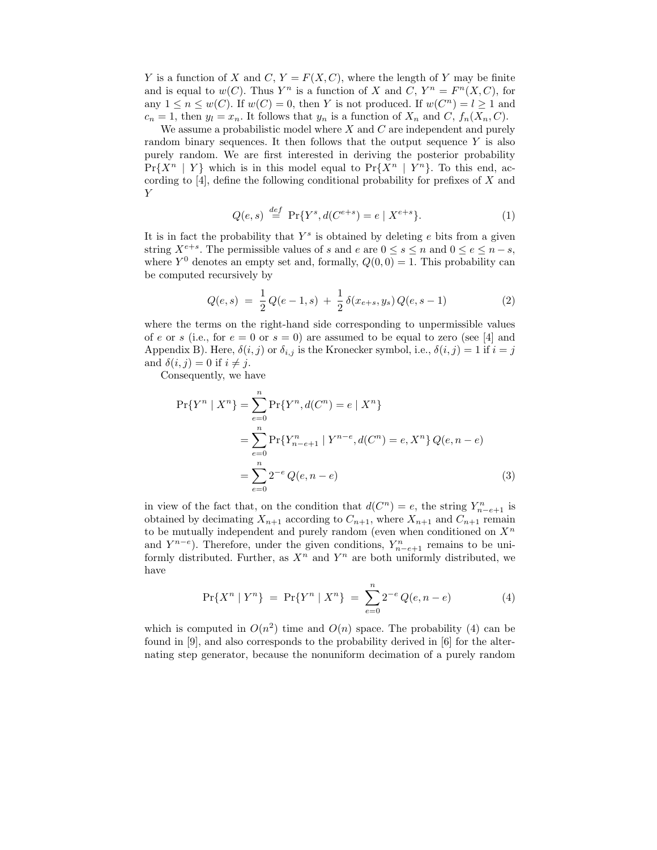Y is a function of X and C,  $Y = F(X, C)$ , where the length of Y may be finite and is equal to  $w(C)$ . Thus Y<sup>n</sup> is a function of X and C, Y<sup>n</sup> =  $F<sup>n</sup>(X, C)$ , for any  $1 \leq n \leq w(C)$ . If  $w(C) = 0$ , then Y is not produced. If  $w(C^n) = l \geq 1$  and  $c_n = 1$ , then  $y_l = x_n$ . It follows that  $y_n$  is a function of  $X_n$  and  $C$ ,  $f_n(X_n, C)$ .

We assume a probabilistic model where  $X$  and  $C$  are independent and purely random binary sequences. It then follows that the output sequence  $Y$  is also purely random. We are first interested in deriving the posterior probability  $Pr{X^n | Y}$  which is in this model equal to  $Pr{X^n | Y^n}$ . To this end, according to  $[4]$ , define the following conditional probability for prefixes of X and Y

$$
Q(e,s) \stackrel{def}{=} \Pr\{Y^s, d(C^{e+s}) = e \mid X^{e+s}\}.
$$
 (1)

It is in fact the probability that  $Y^s$  is obtained by deleting  $e$  bits from a given string  $X^{e+s}$ . The permissible values of s and e are  $0 \le s \le n$  and  $0 \le e \le n - s$ , where  $Y^0$  denotes an empty set and, formally,  $Q(0,0) = 1$ . This probability can be computed recursively by

$$
Q(e,s) = \frac{1}{2}Q(e-1,s) + \frac{1}{2}\delta(x_{e+s},y_s)Q(e,s-1)
$$
 (2)

where the terms on the right-hand side corresponding to unpermissible values of e or s (i.e., for  $e = 0$  or  $s = 0$ ) are assumed to be equal to zero (see [4] and Appendix B). Here,  $\delta(i, j)$  or  $\delta_{i,j}$  is the Kronecker symbol, i.e.,  $\delta(i, j) = 1$  if  $i = j$ and  $\delta(i, j) = 0$  if  $i \neq j$ .

Consequently, we have

$$
\Pr\{Y^n \mid X^n\} = \sum_{e=0}^n \Pr\{Y^n, d(C^n) = e \mid X^n\}
$$
  
= 
$$
\sum_{e=0}^n \Pr\{Y^n_{n-e+1} \mid Y^{n-e}, d(C^n) = e, X^n\} Q(e, n-e)
$$
  
= 
$$
\sum_{e=0}^n 2^{-e} Q(e, n-e)
$$
 (3)

in view of the fact that, on the condition that  $d(C^n) = e$ , the string  $Y_{n-e+1}^n$  is obtained by decimating  $X_{n+1}$  according to  $C_{n+1}$ , where  $X_{n+1}$  and  $C_{n+1}$  remain to be mutually independent and purely random (even when conditioned on  $X<sup>n</sup>$ and  $Y^{n-e}$ ). Therefore, under the given conditions,  $Y_{n-e+1}^n$  remains to be uniformly distributed. Further, as  $X^n$  and  $Y^n$  are both uniformly distributed, we have

$$
\Pr\{X^n \mid Y^n\} = \Pr\{Y^n \mid X^n\} = \sum_{e=0}^n 2^{-e} Q(e, n-e) \tag{4}
$$

which is computed in  $O(n^2)$  time and  $O(n)$  space. The probability (4) can be found in [9], and also corresponds to the probability derived in [6] for the alternating step generator, because the nonuniform decimation of a purely random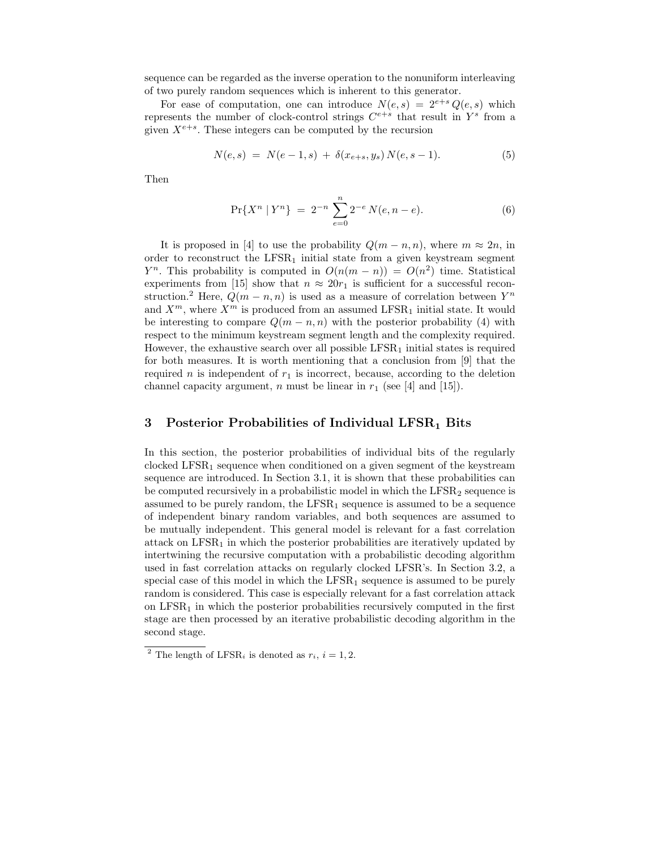sequence can be regarded as the inverse operation to the nonuniform interleaving of two purely random sequences which is inherent to this generator.

For ease of computation, one can introduce  $N(e, s) = 2^{e+s} Q(e, s)$  which represents the number of clock-control strings  $C^{e+s}$  that result in  $Y^s$  from a given  $X^{e+s}$ . These integers can be computed by the recursion

$$
N(e,s) = N(e-1,s) + \delta(x_{e+s}, y_s) N(e,s-1). \tag{5}
$$

Then

$$
\Pr\{X^n \mid Y^n\} = 2^{-n} \sum_{e=0}^n 2^{-e} N(e, n-e). \tag{6}
$$

It is proposed in [4] to use the probability  $Q(m-n,n)$ , where  $m \approx 2n$ , in order to reconstruct the  $LFSR<sub>1</sub>$  initial state from a given keystream segment  $Y^n$ . This probability is computed in  $O(n(m-n)) = O(n^2)$  time. Statistical experiments from [15] show that  $n \approx 20r_1$  is sufficient for a successful reconstruction.<sup>2</sup> Here,  $Q(m - n, n)$  is used as a measure of correlation between  $Y^n$ and  $X^m$ , where  $X^m$  is produced from an assumed LFSR<sub>1</sub> initial state. It would be interesting to compare  $Q(m-n,n)$  with the posterior probability (4) with respect to the minimum keystream segment length and the complexity required. However, the exhaustive search over all possible  $LFSR<sub>1</sub>$  initial states is required for both measures. It is worth mentioning that a conclusion from [9] that the required n is independent of  $r_1$  is incorrect, because, according to the deletion channel capacity argument, n must be linear in  $r_1$  (see [4] and [15]).

#### 3 Posterior Probabilities of Individual  $LFSR<sub>1</sub>$  Bits

In this section, the posterior probabilities of individual bits of the regularly clocked  $LFSR_1$  sequence when conditioned on a given segment of the keystream sequence are introduced. In Section 3.1, it is shown that these probabilities can be computed recursively in a probabilistic model in which the  $LFSR<sub>2</sub>$  sequence is assumed to be purely random, the  $LFSR<sub>1</sub>$  sequence is assumed to be a sequence of independent binary random variables, and both sequences are assumed to be mutually independent. This general model is relevant for a fast correlation attack on  $LFSR<sub>1</sub>$  in which the posterior probabilities are iteratively updated by intertwining the recursive computation with a probabilistic decoding algorithm used in fast correlation attacks on regularly clocked LFSR's. In Section 3.2, a special case of this model in which the  $LFSR<sub>1</sub>$  sequence is assumed to be purely random is considered. This case is especially relevant for a fast correlation attack on  $LFSR<sub>1</sub>$  in which the posterior probabilities recursively computed in the first stage are then processed by an iterative probabilistic decoding algorithm in the second stage.

<sup>&</sup>lt;sup>2</sup> The length of LFSR<sub>i</sub> is denoted as  $r_i$ ,  $i = 1, 2$ .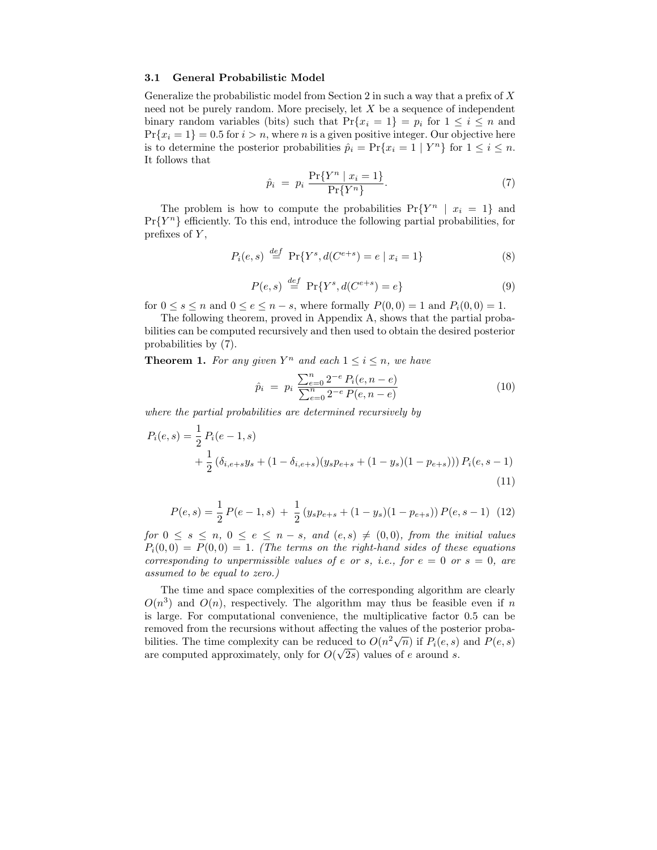#### 3.1 General Probabilistic Model

Generalize the probabilistic model from Section 2 in such a way that a prefix of  $X$ need not be purely random. More precisely, let X be a sequence of independent binary random variables (bits) such that  $Pr{x_i = 1} = p_i$  for  $1 \le i \le n$  and  $Pr{x_i = 1} = 0.5$  for  $i > n$ , where *n* is a given positive integer. Our objective here is to determine the posterior probabilities  $\hat{p}_i = \Pr\{x_i = 1 \mid Y^n\}$  for  $1 \leq i \leq n$ . It follows that

$$
\hat{p}_i \ = \ p_i \, \frac{\Pr\{Y^n \mid x_i = 1\}}{\Pr\{Y^n\}}.\tag{7}
$$

The problem is how to compute the probabilities  $Pr{Y^n | x_i = 1}$  and  $Pr{Y^n}$  efficiently. To this end, introduce the following partial probabilities, for prefixes of  $Y$ ,

$$
P_i(e, s) \stackrel{def}{=} \Pr\{Y^s, d(C^{e+s}) = e \mid x_i = 1\}
$$
 (8)

$$
P(e, s) \stackrel{def}{=} \Pr\{Y^s, d(C^{e+s}) = e\}
$$
 (9)

for  $0 \le s \le n$  and  $0 \le e \le n - s$ , where formally  $P(0,0) = 1$  and  $P_i(0,0) = 1$ .

The following theorem, proved in Appendix A, shows that the partial probabilities can be computed recursively and then used to obtain the desired posterior probabilities by (7).

**Theorem 1.** For any given  $Y^n$  and each  $1 \leq i \leq n$ , we have

$$
\hat{p}_i = p_i \frac{\sum_{e=0}^n 2^{-e} P_i(e, n-e)}{\sum_{e=0}^n 2^{-e} P(e, n-e)}
$$
\n(10)

where the partial probabilities are determined recursively by

$$
P_i(e, s) = \frac{1}{2} P_i(e - 1, s)
$$
  
+ 
$$
\frac{1}{2} (\delta_{i, e+s} y_s + (1 - \delta_{i, e+s}) (y_s p_{e+s} + (1 - y_s)(1 - p_{e+s}))) P_i(e, s - 1)
$$
  
(11)

$$
P(e,s) = \frac{1}{2} P(e-1,s) + \frac{1}{2} (y_s p_{e+s} + (1-y_s)(1-p_{e+s})) P(e,s-1)
$$
 (12)

for  $0 \leq s \leq n, 0 \leq e \leq n-s$ , and  $(e, s) \neq (0, 0)$ , from the initial values  $P_i(0,0) = P(0,0) = 1$ . (The terms on the right-hand sides of these equations corresponding to unpermissible values of e or s, i.e., for  $e = 0$  or  $s = 0$ , are assumed to be equal to zero.)

The time and space complexities of the corresponding algorithm are clearly  $O(n^3)$  and  $O(n)$ , respectively. The algorithm may thus be feasible even if n is large. For computational convenience, the multiplicative factor 0.5 can be removed from the recursions without affecting the values of the posterior probabilities. The time complexity can be reduced to  $O(n^2\sqrt{n})$  if  $P_i(e, s)$  and  $P(e, s)$ are computed approximately, only for  $O(\sqrt{2s})$  values of e around s.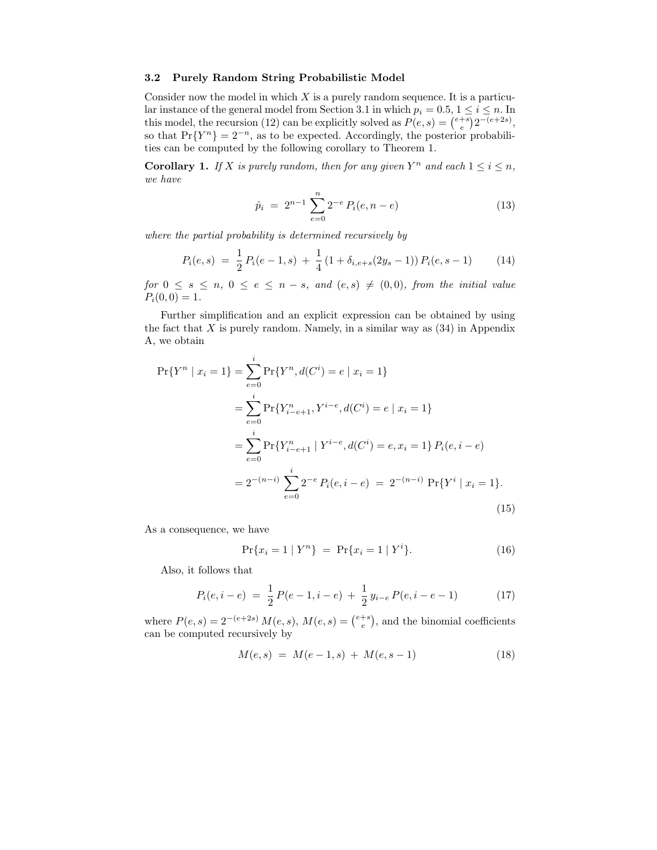#### 3.2 Purely Random String Probabilistic Model

Consider now the model in which  $X$  is a purely random sequence. It is a particular instance of the general model from Section 3.1 in which  $p_i = 0.5, 1 \le i \le n$ . In this model, the recursion (12) can be explicitly solved as  $P(e, s) = \binom{e+s}{e} 2^{-(e+2s)}$ , so that  $Pr{Y^n} = 2^{-n}$ , as to be expected. Accordingly, the posterior probabilities can be computed by the following corollary to Theorem 1.

**Corollary 1.** If X is purely random, then for any given  $Y^n$  and each  $1 \le i \le n$ , we have

$$
\hat{p}_i = 2^{n-1} \sum_{e=0}^{n} 2^{-e} P_i(e, n-e)
$$
\n(13)

where the partial probability is determined recursively by

$$
P_i(e, s) = \frac{1}{2} P_i(e - 1, s) + \frac{1}{4} (1 + \delta_{i, e + s} (2y_s - 1)) P_i(e, s - 1)
$$
 (14)

for  $0 \leq s \leq n, 0 \leq e \leq n-s$ , and  $(e, s) \neq (0, 0)$ , from the initial value  $P_i(0,0) = 1.$ 

Further simplification and an explicit expression can be obtained by using the fact that  $X$  is purely random. Namely, in a similar way as  $(34)$  in Appendix A, we obtain

$$
\Pr\{Y^n \mid x_i = 1\} = \sum_{e=0}^i \Pr\{Y^n, d(C^i) = e \mid x_i = 1\}
$$
  
= 
$$
\sum_{e=0}^i \Pr\{Y^n_{i-e+1}, Y^{i-e}, d(C^i) = e \mid x_i = 1\}
$$
  
= 
$$
\sum_{e=0}^i \Pr\{Y^n_{i-e+1} \mid Y^{i-e}, d(C^i) = e, x_i = 1\} P_i(e, i - e)
$$
  
= 
$$
2^{-(n-i)} \sum_{e=0}^i 2^{-e} P_i(e, i - e) = 2^{-(n-i)} \Pr\{Y^i \mid x_i = 1\}.
$$
 (15)

As a consequence, we have

$$
Pr{x_i = 1 | Y^n} = Pr{x_i = 1 | Y^i}.
$$
\n(16)

Also, it follows that

$$
P_i(e, i - e) = \frac{1}{2} P(e - 1, i - e) + \frac{1}{2} y_{i-e} P(e, i - e - 1)
$$
 (17)

where  $P(e, s) = 2^{-(e+2s)} M(e, s)$ ,  $M(e, s) = {e+s \choose e}$ , and the binomial coefficients can be computed recursively by

$$
M(e,s) = M(e-1,s) + M(e,s-1)
$$
\n(18)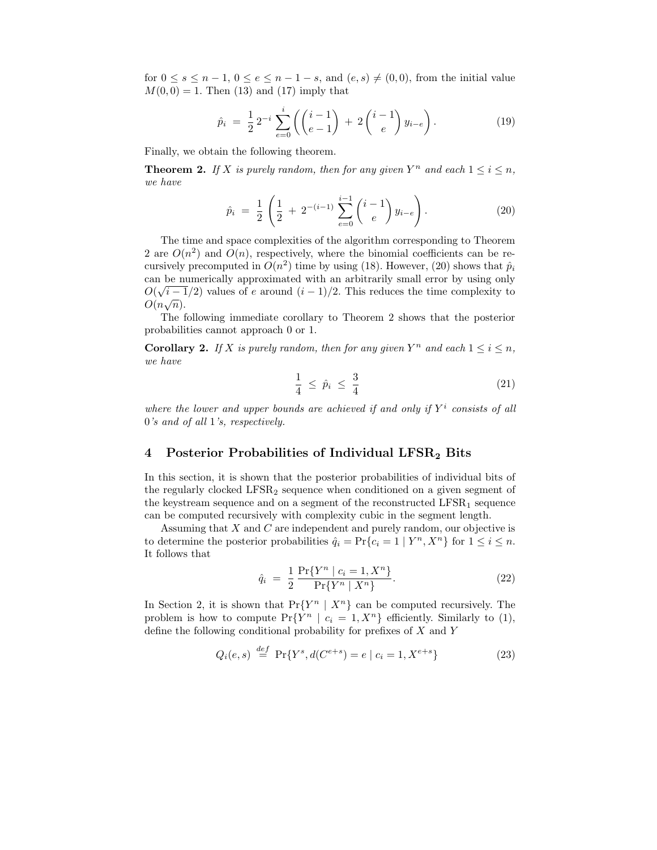for  $0 \leq s \leq n-1$ ,  $0 \leq e \leq n-1-s$ , and  $(e, s) \neq (0, 0)$ , from the initial value  $M(0, 0) = 1$ . Then (13) and (17) imply that

$$
\hat{p}_i = \frac{1}{2} 2^{-i} \sum_{e=0}^i \left( \binom{i-1}{e-1} + 2 \binom{i-1}{e} y_{i-e} \right). \tag{19}
$$

Finally, we obtain the following theorem.

**Theorem 2.** If X is purely random, then for any given  $Y^n$  and each  $1 \le i \le n$ , we have

$$
\hat{p}_i = \frac{1}{2} \left( \frac{1}{2} + 2^{-(i-1)} \sum_{e=0}^{i-1} {i-1 \choose e} y_{i-e} \right).
$$
 (20)

The time and space complexities of the algorithm corresponding to Theorem 2 are  $O(n^2)$  and  $O(n)$ , respectively, where the binomial coefficients can be recursively precomputed in  $O(n^2)$  time by using (18). However, (20) shows that  $\hat{p}_i$ can be numerically approximated with an arbitrarily small error by using only  $O(\sqrt{i-1}/2)$  values of e around  $(i-1)/2$ . This reduces the time complexity to  $O(n\sqrt{n}).$ 

The following immediate corollary to Theorem 2 shows that the posterior probabilities cannot approach 0 or 1.

**Corollary 2.** If X is purely random, then for any given  $Y^n$  and each  $1 \le i \le n$ , we have

$$
\frac{1}{4} \leq \hat{p}_i \leq \frac{3}{4} \tag{21}
$$

where the lower and upper bounds are achieved if and only if  $Y^i$  consists of all 0's and of all 1's, respectively.

## 4 Posterior Probabilities of Individual LFSR<sub>2</sub> Bits

In this section, it is shown that the posterior probabilities of individual bits of the regularly clocked  $LFSR<sub>2</sub>$  sequence when conditioned on a given segment of the keystream sequence and on a segment of the reconstructed  $LFSR_1$  sequence can be computed recursively with complexity cubic in the segment length.

Assuming that X and C are independent and purely random, our objective is to determine the posterior probabilities  $\hat{q}_i = \Pr\{c_i = 1 \mid Y^n, X^n\}$  for  $1 \leq i \leq n$ . It follows that

$$
\hat{q}_i = \frac{1}{2} \frac{\Pr\{Y^n \mid c_i = 1, X^n\}}{\Pr\{Y^n \mid X^n\}}.
$$
\n(22)

In Section 2, it is shown that  $Pr{Y^n | X^n}$  can be computed recursively. The problem is how to compute  $Pr{Y^n \mid c_i = 1, X^n}$  efficiently. Similarly to (1), define the following conditional probability for prefixes of X and Y

$$
Q_i(e, s) \stackrel{def}{=} \Pr\{Y^s, d(C^{e+s}) = e \mid c_i = 1, X^{e+s}\}
$$
 (23)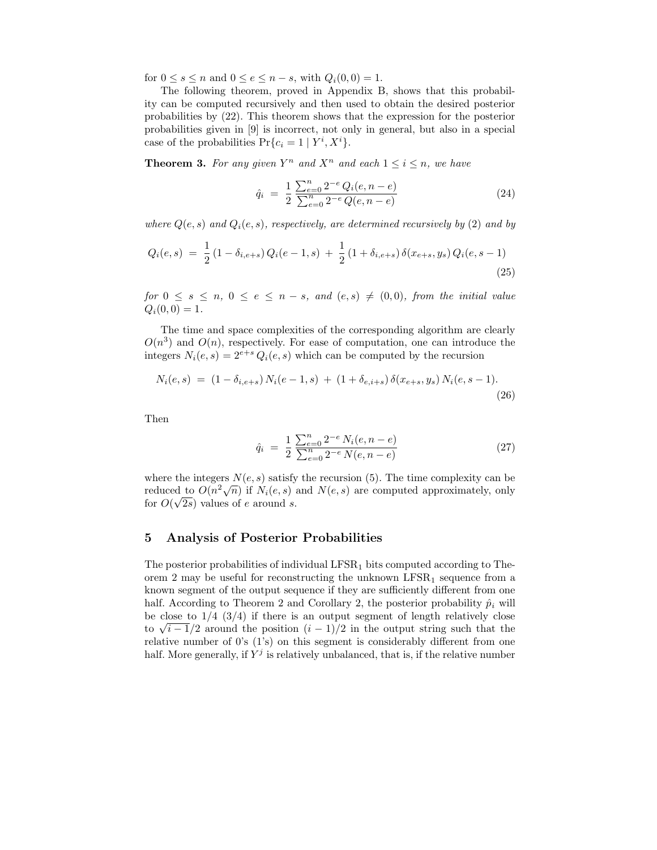for  $0 \leq s \leq n$  and  $0 \leq e \leq n - s$ , with  $Q_i(0, 0) = 1$ .

The following theorem, proved in Appendix B, shows that this probability can be computed recursively and then used to obtain the desired posterior probabilities by (22). This theorem shows that the expression for the posterior probabilities given in [9] is incorrect, not only in general, but also in a special case of the probabilities  $Pr{c_i = 1 | Y^i, X^i}$ .

**Theorem 3.** For any given  $Y^n$  and  $X^n$  and each  $1 \leq i \leq n$ , we have

$$
\hat{q}_i = \frac{1}{2} \frac{\sum_{e=0}^{n} 2^{-e} Q_i(e, n-e)}{\sum_{e=0}^{n} 2^{-e} Q(e, n-e)}
$$
\n(24)

where  $Q(e, s)$  and  $Q_i(e, s)$ , respectively, are determined recursively by (2) and by

$$
Q_i(e,s) = \frac{1}{2} (1 - \delta_{i,e+s}) Q_i(e-1,s) + \frac{1}{2} (1 + \delta_{i,e+s}) \delta(x_{e+s}, y_s) Q_i(e,s-1)
$$
\n(25)

for  $0 \leq s \leq n, \ 0 \leq e \leq n - s, \ and \ (e, s) \neq (0, 0), \ from \ the \ initial \ value$  $Q_i(0, 0) = 1.$ 

The time and space complexities of the corresponding algorithm are clearly  $O(n^3)$  and  $O(n)$ , respectively. For ease of computation, one can introduce the integers  $N_i(e, s) = 2^{e+s} Q_i(e, s)$  which can be computed by the recursion

$$
N_i(e, s) = (1 - \delta_{i, e+s}) N_i(e - 1, s) + (1 + \delta_{e, i+s}) \delta(x_{e+s}, y_s) N_i(e, s - 1).
$$
\n(26)

Then

$$
\hat{q}_i = \frac{1}{2} \frac{\sum_{e=0}^{n} 2^{-e} N_i(e, n-e)}{\sum_{e=0}^{n} 2^{-e} N(e, n-e)} \tag{27}
$$

where the integers  $N(e, s)$  satisfy the recursion (5). The time complexity can be reduced to  $O(n^2\sqrt{n})$  if  $N_i(e, s)$  and  $N(e, s)$  are computed approximately, only for  $O(\sqrt{2s})$  values of e around s.

## 5 Analysis of Posterior Probabilities

The posterior probabilities of individual  $LFSR<sub>1</sub>$  bits computed according to Theorem 2 may be useful for reconstructing the unknown  $LFSR_1$  sequence from a known segment of the output sequence if they are sufficiently different from one half. According to Theorem 2 and Corollary 2, the posterior probability  $\hat{p}_i$  will be close to  $1/4$   $(3/4)$  if there is an output segment of length relatively close to  $\sqrt{i-1}/2$  around the position  $(i-1)/2$  in the output string such that the relative number of 0's (1's) on this segment is considerably different from one half. More generally, if  $Y^j$  is relatively unbalanced, that is, if the relative number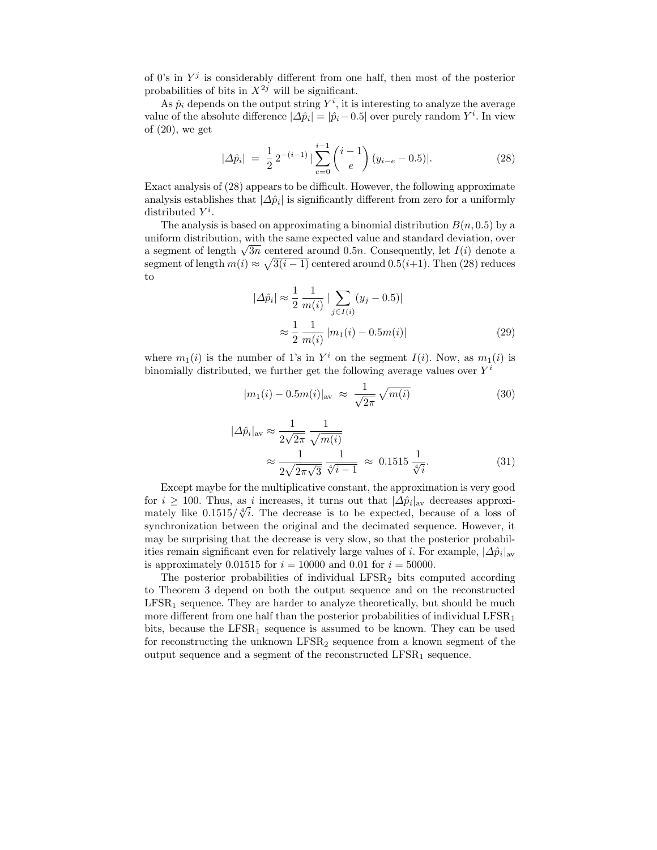of 0's in  $Y^j$  is considerably different from one half, then most of the posterior probabilities of bits in  $X^{2j}$  will be significant.

As  $\hat{p}_i$  depends on the output string  $Y^i$ , it is interesting to analyze the average value of the absolute difference  $|\Delta \hat{p}_i| = |\hat{p}_i - 0.5|$  over purely random  $Y^i$ . In view of  $(20)$ , we get

$$
|\Delta \hat{p}_i| = \frac{1}{2} 2^{-(i-1)} |\sum_{e=0}^{i-1} {i-1 \choose e} (y_{i-e} - 0.5)|.
$$
 (28)

Exact analysis of (28) appears to be difficult. However, the following approximate analysis establishes that  $|\Delta \hat{p}_i|$  is significantly different from zero for a uniformly distributed  $Y^i$ .

The analysis is based on approximating a binomial distribution  $B(n, 0.5)$  by a uniform distribution, with the same expected value and standard deviation, over a segment of length  $\sqrt{3n}$  centered around 0.5n. Consequently, let  $I(i)$  denote a segment of length  $m(i) \approx \sqrt{3(i-1)}$  centered around 0.5(*i*+1). Then (28) reduces to

$$
|\Delta \hat{p}_i| \approx \frac{1}{2} \frac{1}{m(i)} |\sum_{j \in I(i)} (y_j - 0.5)|
$$
  

$$
\approx \frac{1}{2} \frac{1}{m(i)} |m_1(i) - 0.5m(i)|
$$
 (29)

where  $m_1(i)$  is the number of 1's in  $Y^i$  on the segment  $I(i)$ . Now, as  $m_1(i)$  is binomially distributed, we further get the following average values over  $Y^i$ 

$$
|m_1(i) - 0.5m(i)|_{\text{av}} \approx \frac{1}{\sqrt{2\pi}} \sqrt{m(i)} \tag{30}
$$

$$
|\Delta \hat{p}_i|_{\text{av}} \approx \frac{1}{2\sqrt{2\pi}} \frac{1}{\sqrt{m(i)}}
$$

$$
\approx \frac{1}{2\sqrt{2\pi}\sqrt{3}} \frac{1}{\sqrt[4]{i-1}} \approx 0.1515 \frac{1}{\sqrt[4]{i}}.
$$
(31)

Except maybe for the multiplicative constant, the approximation is very good for  $i \geq 100$ . Thus, as i increases, it turns out that  $|\Delta \hat{p}_i|_{\text{av}}$  decreases approximately like  $0.1515/\sqrt[4]{i}$ . The decrease is to be expected, because of a loss of synchronization between the original and the decimated sequence. However, it may be surprising that the decrease is very slow, so that the posterior probabilities remain significant even for relatively large values of *i*. For example,  $|\Delta \hat{p}_i|_{av}$ is approximately 0.01515 for  $i = 10000$  and 0.01 for  $i = 50000$ .

The posterior probabilities of individual LFSR<sup>2</sup> bits computed according to Theorem 3 depend on both the output sequence and on the reconstructed  $LFSR<sub>1</sub>$  sequence. They are harder to analyze theoretically, but should be much more different from one half than the posterior probabilities of individual  $LFSR_1$ bits, because the  $LFSR<sub>1</sub>$  sequence is assumed to be known. They can be used for reconstructing the unknown  $LFSR_2$  sequence from a known segment of the output sequence and a segment of the reconstructed  $LFSR<sub>1</sub>$  sequence.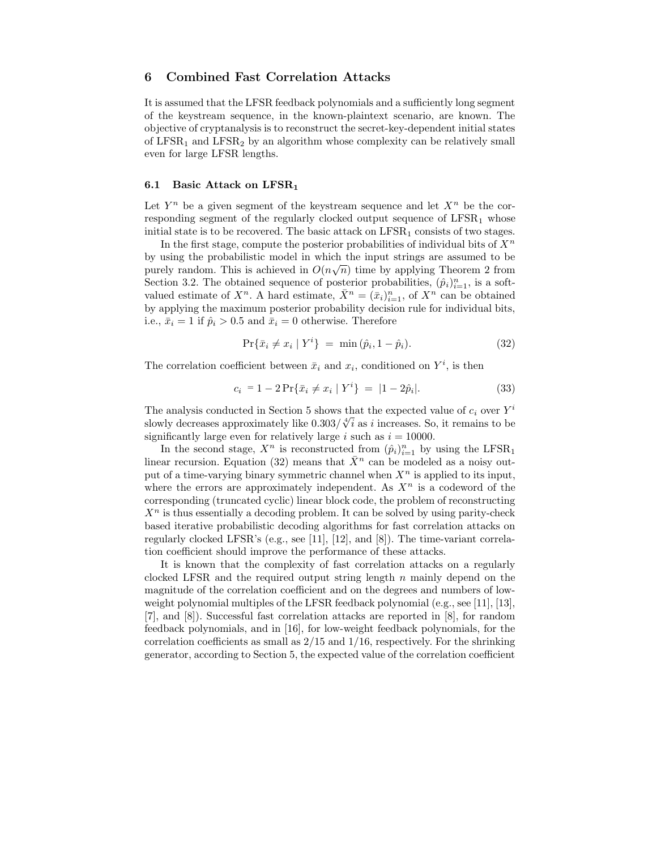## 6 Combined Fast Correlation Attacks

It is assumed that the LFSR feedback polynomials and a sufficiently long segment of the keystream sequence, in the known-plaintext scenario, are known. The objective of cryptanalysis is to reconstruct the secret-key-dependent initial states of  $LFSR_1$  and  $LFSR_2$  by an algorithm whose complexity can be relatively small even for large LFSR lengths.

#### 6.1 Basic Attack on  $LFSR_1$

Let  $Y^n$  be a given segment of the keystream sequence and let  $X^n$  be the corresponding segment of the regularly clocked output sequence of  $LFSR_1$  whose initial state is to be recovered. The basic attack on  $LFSR<sub>1</sub>$  consists of two stages.

In the first stage, compute the posterior probabilities of individual bits of  $X<sup>n</sup>$ by using the probabilistic model in which the input strings are assumed to be purely random. This is achieved in  $O(n\sqrt{n})$  time by applying Theorem 2 from Section 3.2. The obtained sequence of posterior probabilities,  $(\hat{p}_i)_{i=1}^n$ , is a softvalued estimate of  $X^n$ . A hard estimate,  $\bar{X}^n = (\bar{x}_i)_{i=1}^n$ , of  $X^n$  can be obtained by applying the maximum posterior probability decision rule for individual bits, i.e.,  $\bar{x}_i = 1$  if  $\hat{p}_i > 0.5$  and  $\bar{x}_i = 0$  otherwise. Therefore

$$
Pr{\bar{x}_i \neq x_i | Y^i} = \min(\hat{p}_i, 1 - \hat{p}_i).
$$
 (32)

The correlation coefficient between  $\bar{x}_i$  and  $x_i$ , conditioned on  $Y^i$ , is then

$$
c_i = 1 - 2\Pr{\bar{x}_i \neq x_i \mid Y^i} = |1 - 2\hat{p}_i|.
$$
 (33)

The analysis conducted in Section 5 shows that the expected value of  $c_i$  over  $Y^i$ slowly decreases approximately like  $0.303/\sqrt[4]{i}$  as *i* increases. So, it remains to be significantly large even for relatively large i such as  $i = 10000$ .

In the second stage,  $X^n$  is reconstructed from  $(\hat{p}_i)_{i=1}^n$  by using the LFSR<sub>1</sub> linear recursion. Equation (32) means that  $\bar{X}^n$  can be modeled as a noisy output of a time-varying binary symmetric channel when  $X<sup>n</sup>$  is applied to its input, where the errors are approximately independent. As  $X<sup>n</sup>$  is a codeword of the corresponding (truncated cyclic) linear block code, the problem of reconstructing  $X<sup>n</sup>$  is thus essentially a decoding problem. It can be solved by using parity-check based iterative probabilistic decoding algorithms for fast correlation attacks on regularly clocked LFSR's (e.g., see [11], [12], and [8]). The time-variant correlation coefficient should improve the performance of these attacks.

It is known that the complexity of fast correlation attacks on a regularly clocked LFSR and the required output string length  $n$  mainly depend on the magnitude of the correlation coefficient and on the degrees and numbers of lowweight polynomial multiples of the LFSR feedback polynomial (e.g., see [11], [13], [7], and [8]). Successful fast correlation attacks are reported in [8], for random feedback polynomials, and in [16], for low-weight feedback polynomials, for the correlation coefficients as small as  $2/15$  and  $1/16$ , respectively. For the shrinking generator, according to Section 5, the expected value of the correlation coefficient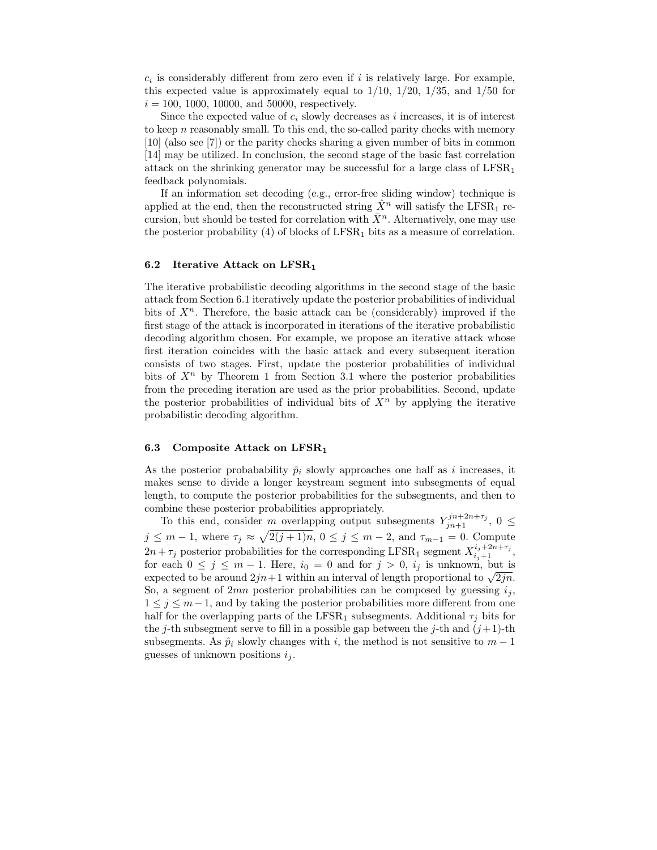$c_i$  is considerably different from zero even if i is relatively large. For example, this expected value is approximately equal to  $1/10$ ,  $1/20$ ,  $1/35$ , and  $1/50$  for  $i = 100, 1000, 10000,$  and 50000, respectively.

Since the expected value of  $c_i$  slowly decreases as i increases, it is of interest to keep  $n$  reasonably small. To this end, the so-called parity checks with memory [10] (also see [7]) or the parity checks sharing a given number of bits in common [14] may be utilized. In conclusion, the second stage of the basic fast correlation attack on the shrinking generator may be successful for a large class of  $LFSR<sub>1</sub>$ feedback polynomials.

If an information set decoding (e.g., error-free sliding window) technique is applied at the end, then the reconstructed string  $\hat{X}^n$  will satisfy the LFSR<sub>1</sub> recursion, but should be tested for correlation with  $\bar{X}^n$ . Alternatively, one may use the posterior probability  $(4)$  of blocks of LFSR<sub>1</sub> bits as a measure of correlation.

#### 6.2 Iterative Attack on  $LFSR<sub>1</sub>$

The iterative probabilistic decoding algorithms in the second stage of the basic attack from Section 6.1 iteratively update the posterior probabilities of individual bits of  $X<sup>n</sup>$ . Therefore, the basic attack can be (considerably) improved if the first stage of the attack is incorporated in iterations of the iterative probabilistic decoding algorithm chosen. For example, we propose an iterative attack whose first iteration coincides with the basic attack and every subsequent iteration consists of two stages. First, update the posterior probabilities of individual bits of  $X^n$  by Theorem 1 from Section 3.1 where the posterior probabilities from the preceding iteration are used as the prior probabilities. Second, update the posterior probabilities of individual bits of  $X<sup>n</sup>$  by applying the iterative probabilistic decoding algorithm.

#### 6.3 Composite Attack on LFSR<sup>1</sup>

As the posterior probabability  $\hat{p}_i$  slowly approaches one half as i increases, it makes sense to divide a longer keystream segment into subsegments of equal length, to compute the posterior probabilities for the subsegments, and then to combine these posterior probabilities appropriately.

To this end, consider m overlapping output subsegments  $Y_{jn+1}^{jn+2n+\tau_j}$ ,  $0 \leq$  $j \leq m-1$ , where  $\tau_j \approx \sqrt{2(j+1)n}$ ,  $0 \leq j \leq m-2$ , and  $\tau_{m-1} = 0$ . Compute  $2n + \tau_j$  posterior probabilities for the corresponding LFSR<sub>1</sub> segment  $X_{i_j+1}^{i_j+2n+\tau_j}$ , for each  $0 \leq j \leq m-1$ . Here,  $i_0 = 0$  and for  $j > 0$ ,  $i_j$  is unknown, but is expected to be around  $2jn+1$  within an interval of length proportional to  $\sqrt{2jn}$ . So, a segment of 2mn posterior probabilities can be composed by guessing  $i_j$ ,  $1 \leq j \leq m-1$ , and by taking the posterior probabilities more different from one half for the overlapping parts of the LFSR<sub>1</sub> subsegments. Additional  $\tau_i$  bits for the j-th subsegment serve to fill in a possible gap between the j-th and  $(j+1)$ -th subsegments. As  $\hat{p}_i$  slowly changes with i, the method is not sensitive to  $m-1$ guesses of unknown positions  $i_j$ .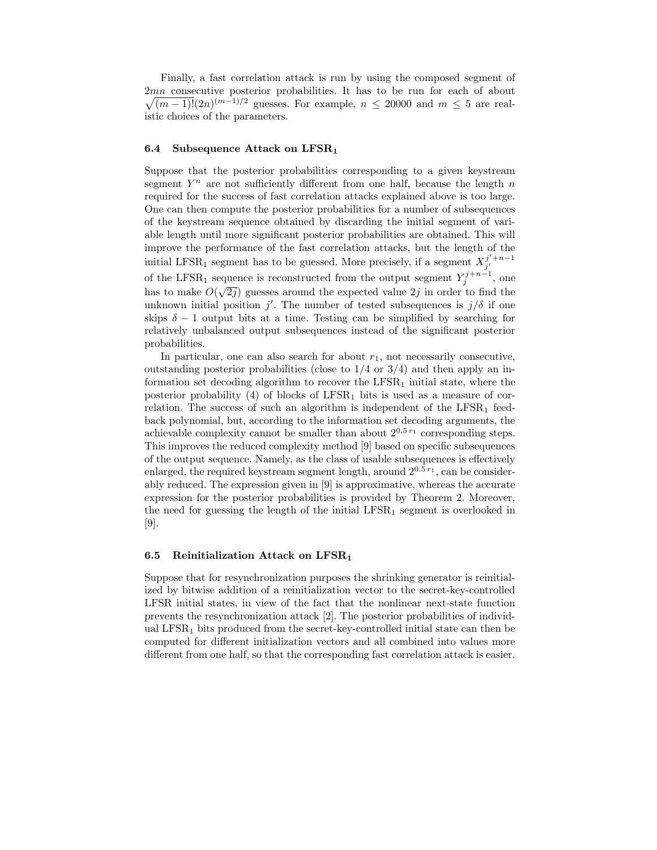Finally, a fast correlation attack is run by using the composed segment of  $\sqrt{(m-1)!}(2n)^{(m-1)/2}$  guesses. For example,  $n \leq 20000$  and  $m \leq 5$  are real-2mn consecutive posterior probabilities. It has to be run for each of about istic choices of the parameters.

#### 6.4 Subsequence Attack on  $LFSR_1$

Suppose that the posterior probabilities corresponding to a given keystream segment  $Y^n$  are not sufficiently different from one half, because the length n required for the success of fast correlation attacks explained above is too large. One can then compute the posterior probabilities for a number of subsequences of the keystream sequence obtained by discarding the initial segment of variable length until more significant posterior probabilities are obtained. This will improve the performance of the fast correlation attacks, but the length of the initial LFSR<sub>1</sub> segment has to be guessed. More precisely, if a segment  $X_{j'}^{j'+n-1}$ of the LFSR<sub>1</sub> sequence is reconstructed from the output segment  $Y_j^{j+n-1}$ , one has to make  $O(\sqrt{2j})$  guesses around the expected value 2j in order to find the unknown initial position  $j'$ . The number of tested subsequences is  $j/\delta$  if one skips  $\delta - 1$  output bits at a time. Testing can be simplified by searching for relatively unbalanced output subsequences instead of the significant posterior probabilities.

In particular, one can also search for about  $r_1$ , not necessarily consecutive, outstanding posterior probabilities (close to  $1/4$  or  $3/4$ ) and then apply an information set decoding algorithm to recover the  $LFSR<sub>1</sub>$  initial state, where the posterior probability  $(4)$  of blocks of LFSR<sub>1</sub> bits is used as a measure of correlation. The success of such an algorithm is independent of the  $LFSR<sub>1</sub>$  feedback polynomial, but, according to the information set decoding arguments, the achievable complexity cannot be smaller than about  $2^{0.5 r_1}$  corresponding steps. This improves the reduced complexity method [9] based on specific subsequences of the output sequence. Namely, as the class of usable subsequences is effectively enlarged, the required keystream segment length, around  $2^{0.5 r_1}$ , can be considerably reduced. The expression given in [9] is approximative, whereas the accurate expression for the posterior probabilities is provided by Theorem 2. Moreover, the need for guessing the length of the initial  $LFSR<sub>1</sub>$  segment is overlooked in [9].

#### 6.5 Reinitialization Attack on  $LFSR_1$

Suppose that for resynchronization purposes the shrinking generator is reinitialized by bitwise addition of a reinitialization vector to the secret-key-controlled LFSR initial states, in view of the fact that the nonlinear next-state function prevents the resynchronization attack [2]. The posterior probabilities of individual LFSR<sub>1</sub> bits produced from the secret-key-controlled initial state can then be computed for different initialization vectors and all combined into values more different from one half, so that the corresponding fast correlation attack is easier.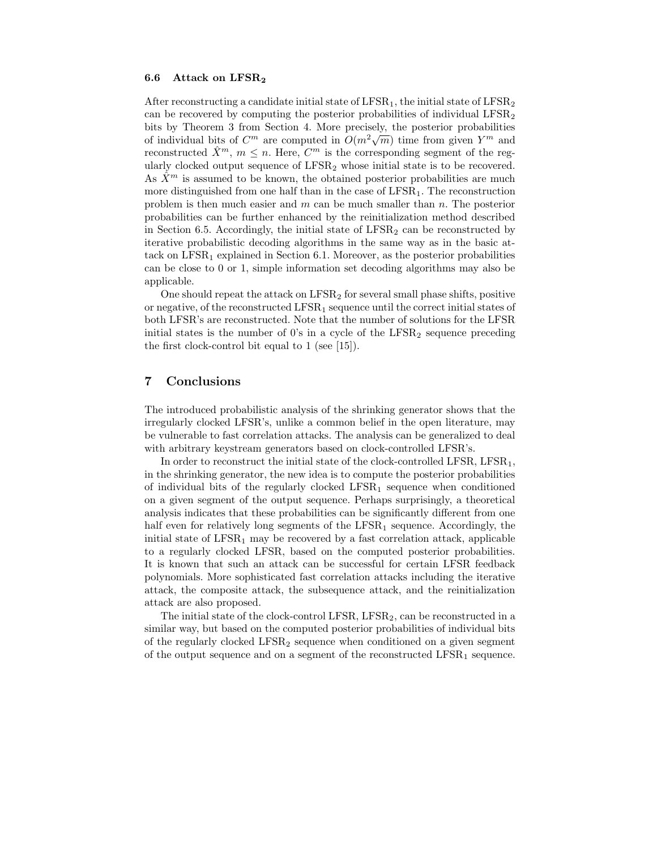#### 6.6 Attack on LFSR2

After reconstructing a candidate initial state of  $LFSR<sub>1</sub>$ , the initial state of  $LFSR<sub>2</sub>$ can be recovered by computing the posterior probabilities of individual  $LFSR<sub>2</sub>$ bits by Theorem 3 from Section 4. More precisely, the posterior probabilities of individual bits of  $C^m$  are computed in  $O(m^2\sqrt{m})$  time from given  $Y^m$  and reconstructed  $\hat{X}^m$ ,  $m \leq n$ . Here,  $C^m$  is the corresponding segment of the regularly clocked output sequence of  $LFSR_2$  whose initial state is to be recovered. As  $\hat{X}^m$  is assumed to be known, the obtained posterior probabilities are much more distinguished from one half than in the case of  $LFSR<sub>1</sub>$ . The reconstruction problem is then much easier and m can be much smaller than  $n$ . The posterior probabilities can be further enhanced by the reinitialization method described in Section 6.5. Accordingly, the initial state of  $LFSR<sub>2</sub>$  can be reconstructed by iterative probabilistic decoding algorithms in the same way as in the basic attack on  $LFSR<sub>1</sub>$  explained in Section 6.1. Moreover, as the posterior probabilities can be close to 0 or 1, simple information set decoding algorithms may also be applicable.

One should repeat the attack on LFSR<sup>2</sup> for several small phase shifts, positive or negative, of the reconstructed  $LFSR_1$  sequence until the correct initial states of both LFSR's are reconstructed. Note that the number of solutions for the LFSR initial states is the number of 0's in a cycle of the  $LFSR<sub>2</sub>$  sequence preceding the first clock-control bit equal to 1 (see [15]).

## 7 Conclusions

The introduced probabilistic analysis of the shrinking generator shows that the irregularly clocked LFSR's, unlike a common belief in the open literature, may be vulnerable to fast correlation attacks. The analysis can be generalized to deal with arbitrary keystream generators based on clock-controlled LFSR's.

In order to reconstruct the initial state of the clock-controlled LFSR, LFSR<sub>1</sub>, in the shrinking generator, the new idea is to compute the posterior probabilities of individual bits of the regularly clocked  $LFSR<sub>1</sub>$  sequence when conditioned on a given segment of the output sequence. Perhaps surprisingly, a theoretical analysis indicates that these probabilities can be significantly different from one half even for relatively long segments of the  $LFSR_1$  sequence. Accordingly, the initial state of  $LFSR_1$  may be recovered by a fast correlation attack, applicable to a regularly clocked LFSR, based on the computed posterior probabilities. It is known that such an attack can be successful for certain LFSR feedback polynomials. More sophisticated fast correlation attacks including the iterative attack, the composite attack, the subsequence attack, and the reinitialization attack are also proposed.

The initial state of the clock-control LFSR,  $LFSR_2$ , can be reconstructed in a similar way, but based on the computed posterior probabilities of individual bits of the regularly clocked  $LFSR<sub>2</sub>$  sequence when conditioned on a given segment of the output sequence and on a segment of the reconstructed  $LFSR_1$  sequence.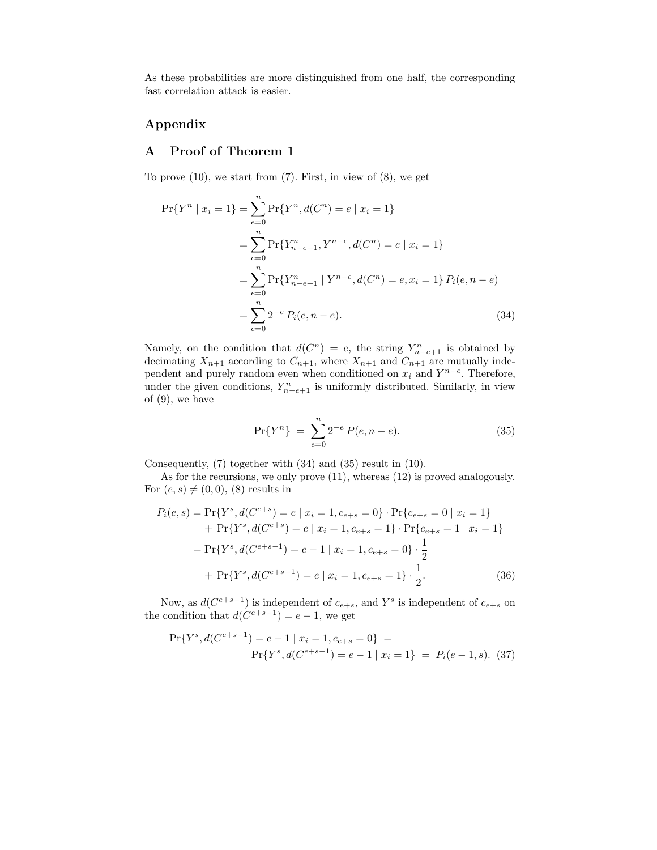As these probabilities are more distinguished from one half, the corresponding fast correlation attack is easier.

## Appendix

## A Proof of Theorem 1

To prove  $(10)$ , we start from  $(7)$ . First, in view of  $(8)$ , we get

$$
\Pr\{Y^n \mid x_i = 1\} = \sum_{e=0}^n \Pr\{Y^n, d(C^n) = e \mid x_i = 1\}
$$
  
= 
$$
\sum_{e=0}^n \Pr\{Y^n_{n-e+1}, Y^{n-e}, d(C^n) = e \mid x_i = 1\}
$$
  
= 
$$
\sum_{e=0}^n \Pr\{Y^n_{n-e+1} \mid Y^{n-e}, d(C^n) = e, x_i = 1\} P_i(e, n-e)
$$
  
= 
$$
\sum_{e=0}^n 2^{-e} P_i(e, n-e).
$$
 (34)

Namely, on the condition that  $d(C^n) = e$ , the string  $Y_{n-e+1}^n$  is obtained by decimating  $X_{n+1}$  according to  $C_{n+1}$ , where  $X_{n+1}$  and  $C_{n+1}$  are mutually independent and purely random even when conditioned on  $x_i$  and  $Y^{n-e}$ . Therefore, under the given conditions,  $Y_{n-e+1}^n$  is uniformly distributed. Similarly, in view of (9), we have

$$
\Pr\{Y^n\} \ = \ \sum_{e=0}^n 2^{-e} P(e, n-e). \tag{35}
$$

Consequently, (7) together with (34) and (35) result in (10).

As for the recursions, we only prove (11), whereas (12) is proved analogously. For  $(e, s) \neq (0, 0)$ ,  $(8)$  results in

$$
P_i(e, s) = \Pr\{Y^s, d(C^{e+s}) = e \mid x_i = 1, c_{e+s} = 0\} \cdot \Pr\{c_{e+s} = 0 \mid x_i = 1\}
$$
  
+ 
$$
\Pr\{Y^s, d(C^{e+s}) = e \mid x_i = 1, c_{e+s} = 1\} \cdot \Pr\{c_{e+s} = 1 \mid x_i = 1\}
$$
  
= 
$$
\Pr\{Y^s, d(C^{e+s-1}) = e - 1 \mid x_i = 1, c_{e+s} = 0\} \cdot \frac{1}{2}
$$
  
+ 
$$
\Pr\{Y^s, d(C^{e+s-1}) = e \mid x_i = 1, c_{e+s} = 1\} \cdot \frac{1}{2}.
$$
 (36)

Now, as  $d(C^{e+s-1})$  is independent of  $c_{e+s}$ , and  $Y^s$  is independent of  $c_{e+s}$  on the condition that  $d(C^{e+s-1}) = e-1$ , we get

$$
\Pr\{Y^s, d(C^{e+s-1}) = e - 1 \mid x_i = 1, c_{e+s} = 0\} =
$$
  

$$
\Pr\{Y^s, d(C^{e+s-1}) = e - 1 \mid x_i = 1\} = P_i(e - 1, s). \tag{37}
$$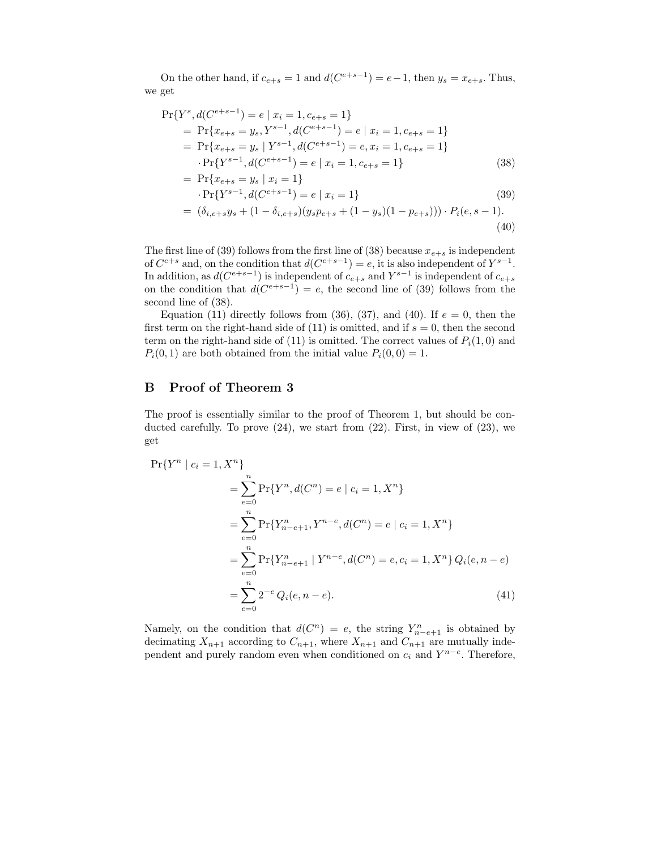On the other hand, if  $c_{e+s} = 1$  and  $d(C^{e+s-1}) = e-1$ , then  $y_s = x_{e+s}$ . Thus, we get

$$
\Pr\{Y^s, d(C^{e+s-1}) = e \mid x_i = 1, c_{e+s} = 1\}
$$
\n
$$
= \Pr\{x_{e+s} = y_s, Y^{s-1}, d(C^{e+s-1}) = e \mid x_i = 1, c_{e+s} = 1\}
$$
\n
$$
= \Pr\{x_{e+s} = y_s \mid Y^{s-1}, d(C^{e+s-1}) = e, x_i = 1, c_{e+s} = 1\}
$$
\n
$$
\Pr\{Y^{s-1}, d(C^{e+s-1}) = e \mid x_i = 1, c_{e+s} = 1\}
$$
\n(38)\n
$$
= \Pr\{x_{e+s} = y_s \mid x_i = 1\}
$$

$$
\Pr\{Y^{s-1}, d(C^{e+s-1}) = e \mid x_i = 1\} \tag{39}
$$

$$
= (\delta_{i,e+s}y_s + (1 - \delta_{i,e+s})(y_s p_{e+s} + (1 - y_s)(1 - p_{e+s}))) \cdot P_i(e, s - 1).
$$
\n(40)

The first line of (39) follows from the first line of (38) because  $x_{e+s}$  is independent of  $C^{e+s}$  and, on the condition that  $d(C^{e+s-1}) = e$ , it is also independent of  $Y^{s-1}$ . In addition, as  $d(C^{e+s-1})$  is independent of  $c_{e+s}$  and  $Y^{s-1}$  is independent of  $c_{e+s}$ on the condition that  $d(C^{e+s-1}) = e$ , the second line of (39) follows from the second line of (38).

Equation (11) directly follows from (36), (37), and (40). If  $e = 0$ , then the first term on the right-hand side of  $(11)$  is omitted, and if  $s = 0$ , then the second term on the right-hand side of (11) is omitted. The correct values of  $P_i(1,0)$  and  $P_i(0, 1)$  are both obtained from the initial value  $P_i(0, 0) = 1$ .

### B Proof of Theorem 3

The proof is essentially similar to the proof of Theorem 1, but should be conducted carefully. To prove  $(24)$ , we start from  $(22)$ . First, in view of  $(23)$ , we get

$$
\Pr\{Y^n \mid c_i = 1, X^n\}
$$
\n
$$
= \sum_{e=0}^n \Pr\{Y^n, d(C^n) = e \mid c_i = 1, X^n\}
$$
\n
$$
= \sum_{e=0}^n \Pr\{Y^n_{n-e+1}, Y^{n-e}, d(C^n) = e \mid c_i = 1, X^n\}
$$
\n
$$
= \sum_{e=0}^n \Pr\{Y^n_{n-e+1} \mid Y^{n-e}, d(C^n) = e, c_i = 1, X^n\} Q_i(e, n-e)
$$
\n
$$
= \sum_{e=0}^n 2^{-e} Q_i(e, n-e).
$$
\n(41)

Namely, on the condition that  $d(C^n) = e$ , the string  $Y_{n-e+1}^n$  is obtained by decimating  $X_{n+1}$  according to  $C_{n+1}$ , where  $X_{n+1}$  and  $C_{n+1}$  are mutually independent and purely random even when conditioned on  $c_i$  and  $Y^{n-e}$ . Therefore,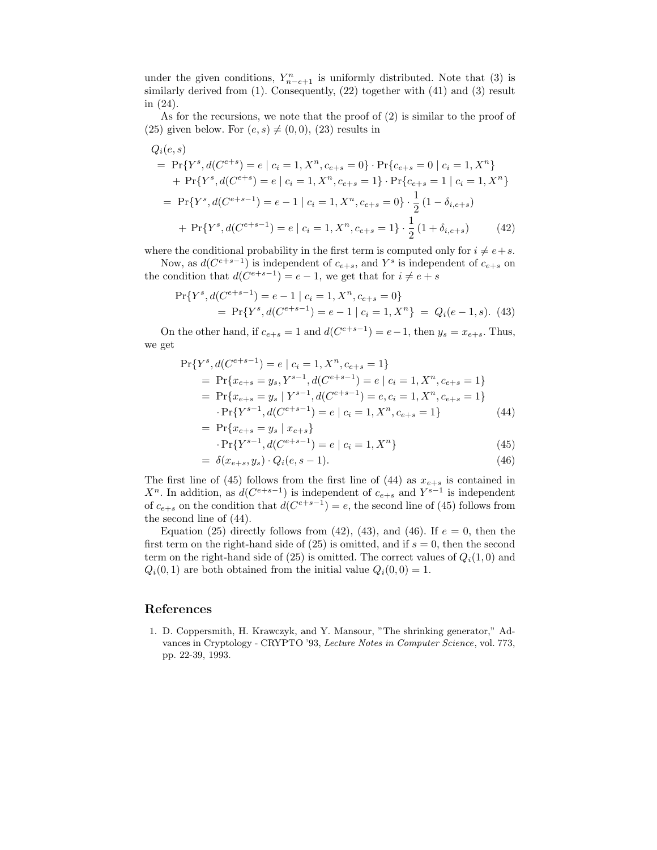under the given conditions,  $Y_{n-e+1}^n$  is uniformly distributed. Note that (3) is similarly derived from (1). Consequently, (22) together with (41) and (3) result in (24).

As for the recursions, we note that the proof of (2) is similar to the proof of (25) given below. For  $(e, s) \neq (0, 0)$ , (23) results in

$$
Q_i(e, s)
$$
  
= Pr{Y<sup>s</sup>, d(C<sup>e+s</sup>) = e | c<sub>i</sub> = 1, X<sup>n</sup>, c<sub>e+s</sub> = 0} \cdot Pr{c<sub>e+s</sub> = 0 | c<sub>i</sub> = 1, X<sup>n</sup>}  
+ Pr{Y<sup>s</sup>, d(C<sup>e+s</sup>) = e | c<sub>i</sub> = 1, X<sup>n</sup>, c<sub>e+s</sub> = 1} \cdot Pr{c<sub>e+s</sub> = 1 | c<sub>i</sub> = 1, X<sup>n</sup>}  
= Pr{Y<sup>s</sup>, d(C<sup>e+s-1</sup>) = e - 1 | c<sub>i</sub> = 1, X<sup>n</sup>, c<sub>e+s</sub> = 0} \cdot \frac{1}{2} (1 - \delta\_{i,e+s})  
+ Pr{Y<sup>s</sup>, d(C<sup>e+s-1</sup>) = e | c<sub>i</sub> = 1, X<sup>n</sup>, c<sub>e+s</sub> = 1} \cdot \frac{1}{2} (1 + \delta\_{i,e+s}) (42)

where the conditional probability in the first term is computed only for  $i \neq e+s$ .

Now, as  $d(C^{e+s-1})$  is independent of  $c_{e+s}$ , and  $Y^s$  is independent of  $c_{e+s}$  on the condition that  $d(C^{e+s-1}) = e - 1$ , we get that for  $i \neq e + s$ 

$$
\Pr\{Y^s, d(C^{e+s-1}) = e - 1 \mid c_i = 1, X^n, c_{e+s} = 0\}
$$
  
= 
$$
\Pr\{Y^s, d(C^{e+s-1}) = e - 1 \mid c_i = 1, X^n\} = Q_i(e - 1, s). \tag{43}
$$

On the other hand, if  $c_{e+s} = 1$  and  $d(C^{e+s-1}) = e-1$ , then  $y_s = x_{e+s}$ . Thus, we get

$$
\Pr\{Y^s, d(C^{e+s-1}) = e \mid c_i = 1, X^n, c_{e+s} = 1\}
$$
\n
$$
= \Pr\{x_{e+s} = y_s, Y^{s-1}, d(C^{e+s-1}) = e \mid c_i = 1, X^n, c_{e+s} = 1\}
$$
\n
$$
= \Pr\{x_{e+s} = y_s \mid Y^{s-1}, d(C^{e+s-1}) = e, c_i = 1, X^n, c_{e+s} = 1\}
$$
\n
$$
\Pr\{Y^{s-1}, d(C^{e+s-1}) = e \mid c_i = 1, X^n, c_{e+s} = 1\}
$$
\n(44)

= 
$$
\Pr\{x_{e+s} = y_s \mid x_{e+s}\}
$$
  
  $\Pr\{Y^{s-1}, d(C^{e+s-1}) = e \mid c_i = 1, X^n\}$  (45)

$$
= \delta(x_{e+s}, y_s) \cdot Q_i(e, s-1). \tag{46}
$$

The first line of (45) follows from the first line of (44) as  $x_{e+s}$  is contained in  $X<sup>n</sup>$ . In addition, as  $d(C<sup>e+s-1</sup>)$  is independent of  $c<sub>e+s</sub>$  and  $Y<sup>s-1</sup>$  is independent of  $c_{e+s}$  on the condition that  $d(C^{e+s-1}) = e$ , the second line of (45) follows from the second line of (44).

Equation (25) directly follows from (42), (43), and (46). If  $e = 0$ , then the first term on the right-hand side of  $(25)$  is omitted, and if  $s = 0$ , then the second term on the right-hand side of (25) is omitted. The correct values of  $Q_i(1,0)$  and  $Q_i(0, 1)$  are both obtained from the initial value  $Q_i(0, 0) = 1$ .

#### References

1. D. Coppersmith, H. Krawczyk, and Y. Mansour, "The shrinking generator," Advances in Cryptology - CRYPTO '93, Lecture Notes in Computer Science, vol. 773, pp. 22-39, 1993.